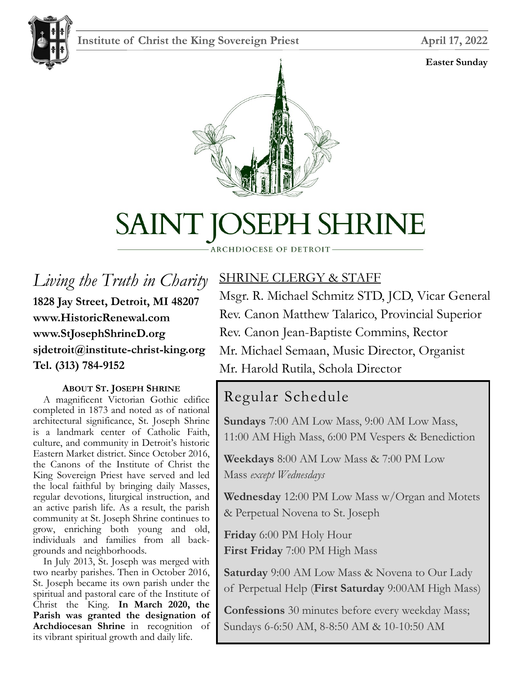## **Institute of Christ the King Sovereign Priest April 17, 2022**

#### **Easter Sunday**





# SAINT JOSEPH SHRINE

#### ARCHDIOCESE OF DETROIT

*Living the Truth in Charity* **1828 Jay Street, Detroit, MI 48207 www.HistoricRenewal.com www.StJosephShrineD.org sjdetroit@institute-christ-king.org Tel. (313) 784-9152**

#### **ABOUT ST. JOSEPH SHRINE**

 A magnificent Victorian Gothic edifice completed in 1873 and noted as of national architectural significance, St. Joseph Shrine is a landmark center of Catholic Faith, culture, and community in Detroit's historic Eastern Market district. Since October 2016, the Canons of the Institute of Christ the King Sovereign Priest have served and led the local faithful by bringing daily Masses, regular devotions, liturgical instruction, and an active parish life. As a result, the parish community at St. Joseph Shrine continues to grow, enriching both young and old, individuals and families from all backgrounds and neighborhoods.

 In July 2013, St. Joseph was merged with two nearby parishes. Then in October 2016, St. Joseph became its own parish under the spiritual and pastoral care of the Institute of Christ the King. **In March 2020, the Parish was granted the designation of Archdiocesan Shrine** in recognition of its vibrant spiritual growth and daily life.

# SHRINE CLERGY & STAFF

Msgr. R. Michael Schmitz STD, JCD, Vicar General Rev. Canon Matthew Talarico, Provincial Superior Rev. Canon Jean-Baptiste Commins, Rector Mr. Michael Semaan, Music Director, Organist Mr. Harold Rutila, Schola Director

# Regular Schedule

**Sundays** 7:00 AM Low Mass, 9:00 AM Low Mass, 11:00 AM High Mass, 6:00 PM Vespers & Benediction

**Weekdays** 8:00 AM Low Mass & 7:00 PM Low Mass *except Wednesdays*

**Wednesday** 12:00 PM Low Mass w/Organ and Motets & Perpetual Novena to St. Joseph

**Friday** 6:00 PM Holy Hour **First Friday** 7:00 PM High Mass

**Saturday** 9:00 AM Low Mass & Novena to Our Lady of Perpetual Help (**First Saturday** 9:00AM High Mass)

**Confessions** 30 minutes before every weekday Mass; Sundays 6-6:50 AM, 8-8:50 AM & 10-10:50 AM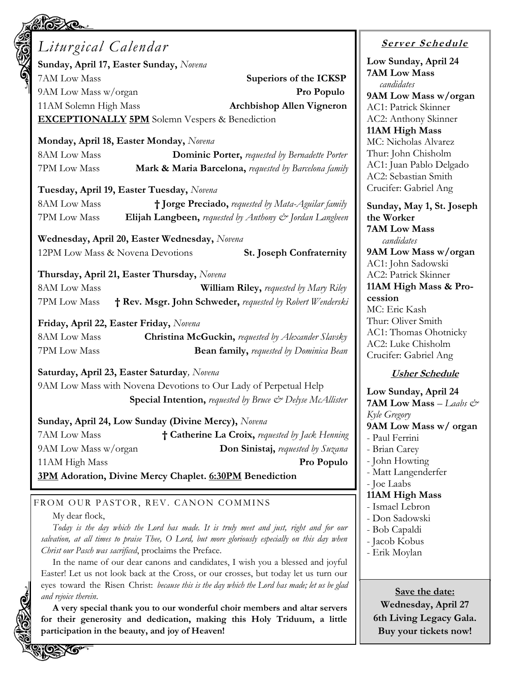| <b>Ker</b><br>$\bm{\infty}$                             |                                                                                                                          |
|---------------------------------------------------------|--------------------------------------------------------------------------------------------------------------------------|
| Liturgical Calendar                                     |                                                                                                                          |
| Sunday, April 17, Easter Sunday, Novena                 | Low Sui                                                                                                                  |
| 7AM Low Mass                                            | 7AM Lo<br>Superiors of the ICKSP                                                                                         |
| 9AM Low Mass w/organ                                    | Pro Populo                                                                                                               |
| 11AM Solemn High Mass                                   | 9AM Lo<br><b>Archbishop Allen Vigneron</b>                                                                               |
|                                                         | AC1: Pat<br>AC2: An                                                                                                      |
| <b>EXCEPTIONALLY 5PM</b> Solemn Vespers & Benediction   | 11AM <sub>H</sub>                                                                                                        |
| Monday, April 18, Easter Monday, Novena                 | MC: Nic                                                                                                                  |
| <b>8AM Low Mass</b>                                     | Thur: Jo.<br><b>Dominic Porter, requested by Bernadette Porter</b>                                                       |
| 7PM Low Mass                                            | AC1: Jua<br>Mark & Maria Barcelona, requested by Barcelona family                                                        |
|                                                         | AC2: Sel<br>Crucifer:                                                                                                    |
| Tuesday, April 19, Easter Tuesday, Novena               |                                                                                                                          |
| <b>8AM Low Mass</b>                                     | † Jorge Preciado, requested by Mata-Aguilar family<br>Sunday,                                                            |
| 7PM Low Mass                                            | Elijah Langbeen, requested by Anthony & Jordan Langbeen<br>the Wor<br>7AM Lo                                             |
| Wednesday, April 20, Easter Wednesday, Novena           |                                                                                                                          |
| 12PM Low Mass & Novena Devotions                        | 9AM Lo<br><b>St. Joseph Confraternity</b>                                                                                |
|                                                         | AC1: Jol                                                                                                                 |
| Thursday, April 21, Easter Thursday, Novena             | AC2: Pat<br>11AM <sub>H</sub>                                                                                            |
| <b>8AM Low Mass</b>                                     | <b>William Riley, requested by Mary Riley</b><br>cession                                                                 |
| 7PM Low Mass                                            | † Rev. Msgr. John Schweder, requested by Robert Wenderski<br>MC: Eric                                                    |
| Friday, April 22, Easter Friday, Novena                 | Thur: Ol                                                                                                                 |
| 8AM Low Mass                                            | AC1: Th<br>Christina McGuckin, requested by Alexander Slavsky                                                            |
| 7PM Low Mass                                            | AC2: Lu<br><b>Bean family, requested by Dominica Bean</b><br>Crucifer:                                                   |
| Saturday, April 23, Easter Saturday, Novena             |                                                                                                                          |
|                                                         | 9AM Low Mass with Novena Devotions to Our Lady of Perpetual Help                                                         |
|                                                         | Low Sui<br><b>Special Intention, requested by Bruce &amp; Delyse McAllister</b>                                          |
|                                                         | 7AM Lo<br>Kyle Greg                                                                                                      |
| Sunday, April 24, Low Sunday (Divine Mercy), Novena     | 9AM Lo                                                                                                                   |
| 7AM Low Mass                                            | † Catherine La Croix, requested by Jack Henning<br>- Paul Fe                                                             |
| 9AM Low Mass w/organ                                    | - Brian C<br><b>Don Sinistaj,</b> requested by Suzana                                                                    |
| 11AM High Mass                                          | - John H<br>Pro Populo<br>- Matt L                                                                                       |
| 3PM Adoration, Divine Mercy Chaplet. 6:30PM Benediction | - Joe Laa                                                                                                                |
|                                                         | 11AM <sub>H</sub>                                                                                                        |
| FROM OUR PASTOR, REV. CANON COMMINS                     | - Ismael                                                                                                                 |
| My dear flock,                                          | - Don Sa<br>Today is the day which the Lord has made. It is truly meet and just, right and for our                       |
|                                                         | - Bob Ca<br>salvation, at all times to praise Thee, O Lord, but more gloriously especially on this day when<br>- Jacob F |
| Christ our Pasch was sacrificed, proclaims the Preface. | - Erik M                                                                                                                 |
|                                                         | In the name of our dear canons and candidates, I wish you a blessed and joyful                                           |

Easter! Let us not look back at the Cross, or our crosses, but today let us turn our eyes toward the Risen Christ: *because this is the day which the Lord has made; let us be glad and rejoice therein*.

**A very special thank you to our wonderful choir members and altar servers for their generosity and dedication, making this Holy Triduum, a little participation in the beauty, and joy of Heaven!**

## **<sup>S</sup> <sup>e</sup> rv er <sup>S</sup> <sup>c</sup> he du le**

nday, April 24 **7AM Low Mass** *candidates* **9AM Low Mass w/organ** trick Skinner thony Skinner **11AM High Mass** holas Alvarez<sup>.</sup> hn Chisholm an Pablo Delgado bastian Smith Gabriel Ang

**Sunday, May 1, St. Joseph ker 7AM Low Mass**  *candidates* **9AM Low Mass w/organ** hn Sadowski trick Skinner **112 India Ass & Pro**c Kash liver Smith omas Ohotnicky ıke Chisholm Gabriel Ang

#### **Sher Schedule**

**Low Sunday, April 24**  $\mathbf{w}\mathbf{Mass}$  *– Laabs & Kyle Gregory* **9AM Low Mass w/ organ** errini Carey Iowting angenderfer  $_{\rm abs}$ **11AM High Mass** Lebron adowski apaldi Kobus Ioylan

**Save the date: Wednesday, April 27 6th Living Legacy Gala. Buy your tickets now!**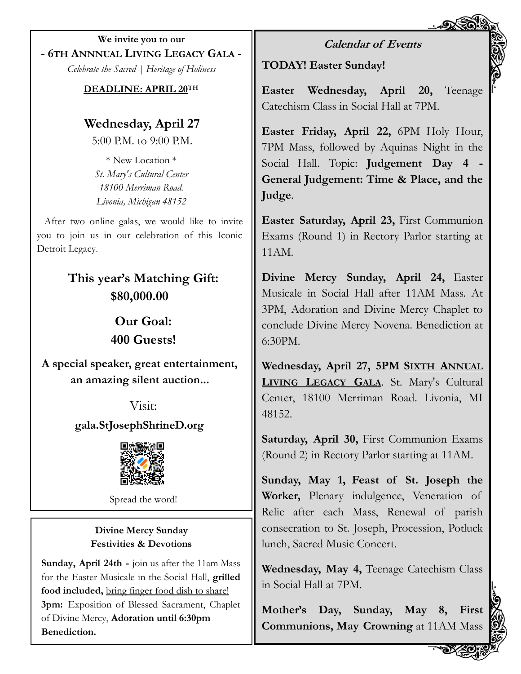**We invite you to our - 6TH ANNNUAL LIVING LEGACY GALA -** *Celebrate the Sacred | Heritage of Holiness*

**DEADLINE: APRIL 20TH**

**Wednesday, April 27** 5:00 P.M. to 9:00 P.M.

\* New Location \* *St. Mary's Cultural Center 18100 Merriman Road. Livonia, Michigan 48152*

After two online galas, we would like to invite you to join us in our celebration of this Iconic Detroit Legacy.

> **This year's Matching Gift: \$80,000.00**

> > **Our Goal: 400 Guests!**

**A special speaker, great entertainment, an amazing silent auction...**

> Visit: **gala.StJosephShrineD.org**



Spread the word!

### **Divine Mercy Sunday Festivities & Devotions**

**Sunday, April 24th -** join us after the 11am Mass for the Easter Musicale in the Social Hall, **grilled food included,** bring finger food dish to share! **3pm:** Exposition of Blessed Sacrament, Chaplet of Divine Mercy, **Adoration until 6:30pm Benediction.**

**Calendar of Events**

**TODAY! Easter Sunday!**

**Easter Wednesday, April 20,** Teenage Catechism Class in Social Hall at 7PM.

**Easter Friday, April 22,** 6PM Holy Hour, 7PM Mass, followed by Aquinas Night in the Social Hall. Topic: **Judgement Day 4 - General Judgement: Time & Place, and the Judge**.

**Easter Saturday, April 23,** First Communion Exams (Round 1) in Rectory Parlor starting at 11AM.

**Divine Mercy Sunday, April 24,** Easter Musicale in Social Hall after 11AM Mass. At 3PM, Adoration and Divine Mercy Chaplet to conclude Divine Mercy Novena. Benediction at 6:30PM.

**Wednesday, April 27, 5PM SIXTH ANNUAL LIVING LEGACY GALA**. St. Mary's Cultural Center, 18100 Merriman Road. Livonia, MI 48152.

**Saturday, April 30,** First Communion Exams (Round 2) in Rectory Parlor starting at 11AM.

**Sunday, May 1, Feast of St. Joseph the Worker,** Plenary indulgence, Veneration of Relic after each Mass, Renewal of parish consecration to St. Joseph, Procession, Potluck lunch, Sacred Music Concert.

**Wednesday, May 4,** Teenage Catechism Class in Social Hall at 7PM.

**Mother's Day, Sunday, May 8, First Communions, May Crowning** at 11AM Mass